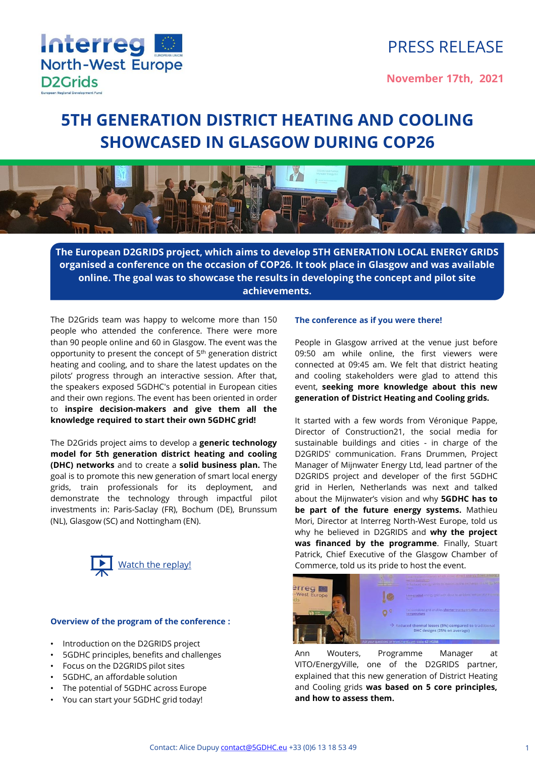

# PRESS RELEASE

**November 17th, 2021**

# **5TH GENERATION DISTRICT HEATING AND COOLING SHOWCASED IN GLASGOW DURING COP26**



**The European D2GRIDS project, which aims to develop 5TH GENERATION LOCAL ENERGY GRIDS organised a conference on the occasion of COP26. It took place in Glasgow and was available online. The goal was to showcase the results in developing the concept and pilot site achievements.**

The D2Grids team was happy to welcome more than 150 people who attended the conference. There were more than 90 people online and 60 in Glasgow. The event was the opportunity to present the concept of 5<sup>th</sup> generation district heating and cooling, and to share the latest updates on the pilots' progress through an interactive session. After that, the speakers exposed 5GDHC's potential in European cities and their own regions. The event has been oriented in order to **inspire decision-makers and give them all the knowledge required to start their own 5GDHC grid!**

The D2Grids project aims to develop a **generic technology model for 5th generation district heating and cooling (DHC) networks** and to create a **solid business plan.** The goal is to promote this new generation of smart local energy grids, train professionals for its deployment, and demonstrate the technology through impactful pilot investments in: Paris-Saclay (FR), Bochum (DE), Brunssum (NL), Glasgow (SC) and Nottingham (EN).



#### **Overview of the program of the conference :**

- Introduction on the D2GRIDS project
- 5GDHC principles, benefits and challenges
- Focus on the D2GRIDS pilot sites
- 5GDHC, an affordable solution
- The potential of 5GDHC across Europe
- You can start your 5GDHC grid today!

#### **The conference as if you were there!**

People in Glasgow arrived at the venue just before 09:50 am while online, the first viewers were connected at 09:45 am. We felt that district heating and cooling stakeholders were glad to attend this event, **seeking more knowledge about this new generation of District Heating and Cooling grids.**

It started with a few words from Véronique Pappe, Director of Construction21, the social media for sustainable buildings and cities - in charge of the D2GRIDS' communication. Frans Drummen, Project Manager of Mijnwater Energy Ltd, lead partner of the D2GRIDS project and developer of the first 5GDHC grid in Herlen, Netherlands was next and talked about the Mijnwater's vision and why **5GDHC has to be part of the future energy systems.** Mathieu Mori, Director at Interreg North-West Europe, told us why he believed in D2GRIDS and **why the project was financed by the programme**. Finally, Stuart Patrick, Chief Executive of the Glasgow Chamber of Commerce, told us its pride to host the event.



Ann Wouters, Programme Manager at VITO/EnergyVille, one of the D2GRIDS partner, explained that this new generation of District Heating and Cooling grids **was based on 5 core principles, and how to assess them.**